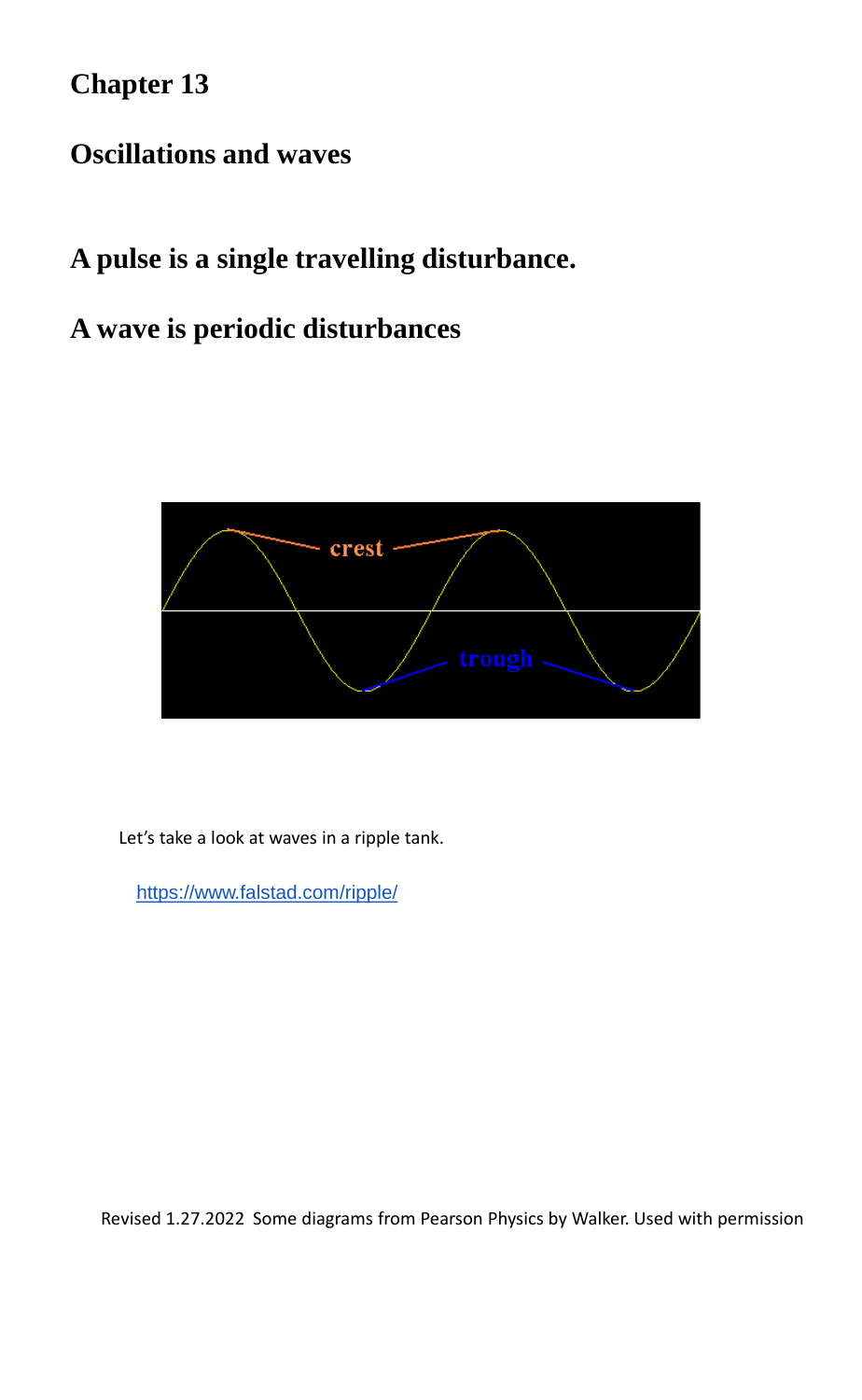**Chapter 13**

### **Oscillations and waves**

## **A pulse is a single travelling disturbance.**

### **A wave is periodic disturbances**



Revised 1.27.2022 Some diagrams from Pearson Physics by Walker. Used with permission

Let's take a look at waves in a ripple tank.

https://www.falstad.com/ripple/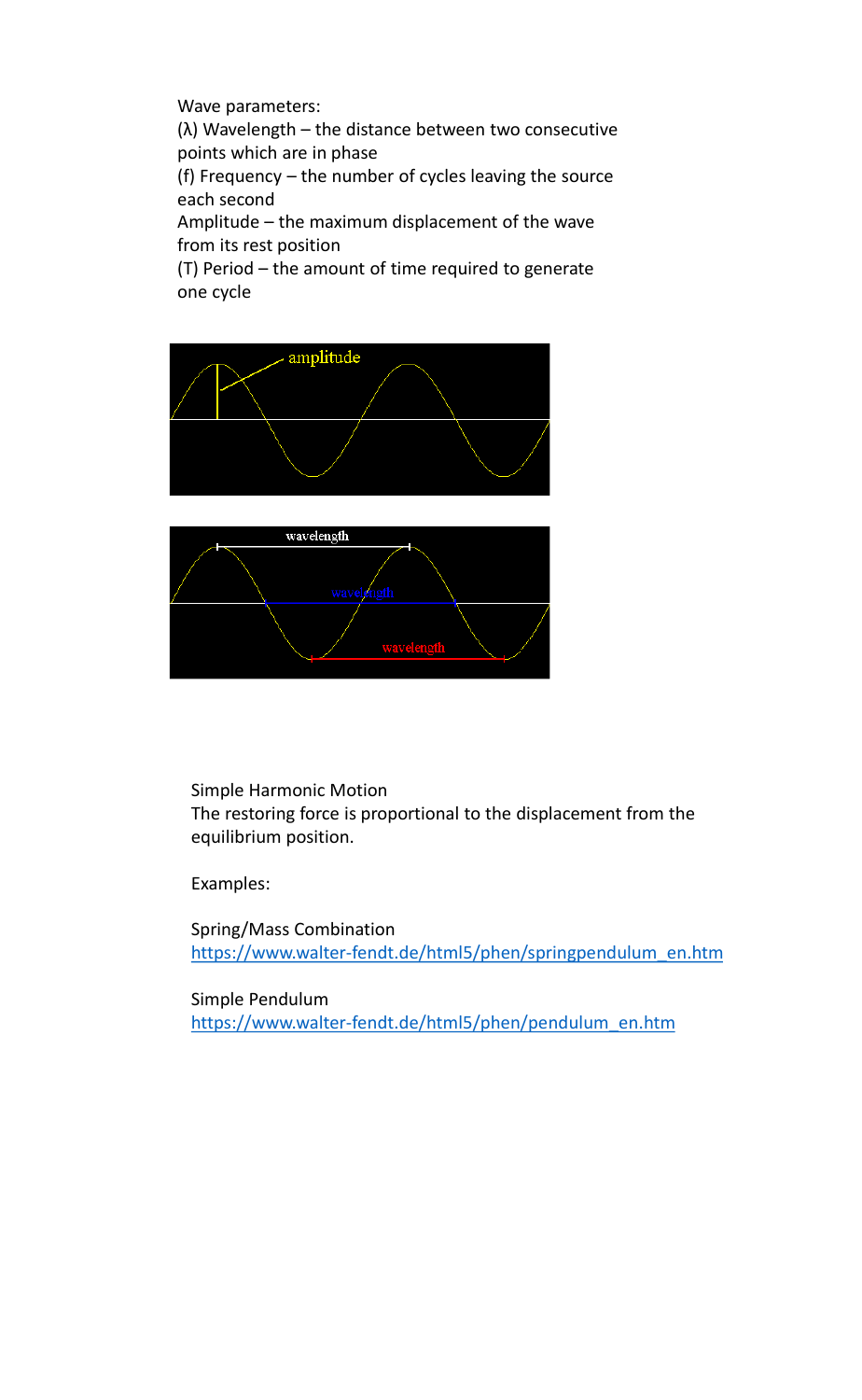Wave parameters:

(λ) Wavelength – the distance between two consecutive points which are in phase

(f) Frequency – the number of cycles leaving the source each second

Amplitude – the maximum displacement of the wave from its rest position

(T) Period – the amount of time required to generate one cycle





Simple Harmonic Motion

The restoring force is proportional to the displacement from the equilibrium position.

Examples:

Spring/Mass Combination [https://www.walter-fendt.de/html5/phen/springpendulum\\_en.htm](https://www.walter-fendt.de/html5/phen/springpendulum_en.htm)

Simple Pendulum

[https://www.walter-fendt.de/html5/phen/pendulum\\_en.htm](https://www.walter-fendt.de/html5/phen/pendulum_en.htm)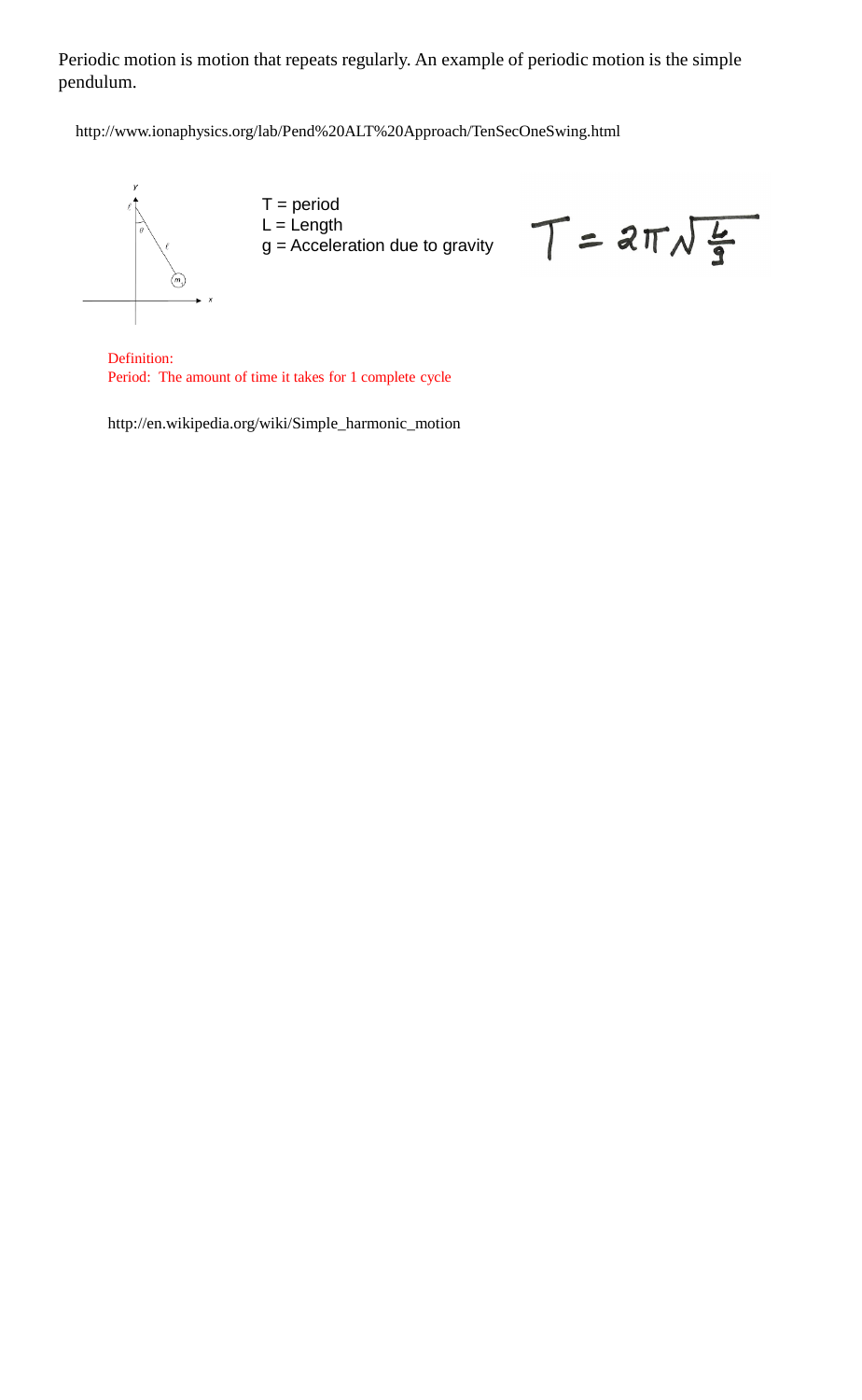Periodic motion is motion that repeats regularly. An example of periodic motion is the simple pendulum.

[http://en.wikipedia.org/wiki/Simple\\_harmonic\\_motion](http://en.wikipedia.org/wiki/Simple_harmonic_motion)

<http://www.ionaphysics.org/lab/Pend%20ALT%20Approach/TenSecOneSwing.html>



 $T = 2\pi\sqrt{\frac{L}{2}}$ 

Definition: Period: The amount of time it takes for 1 complete cycle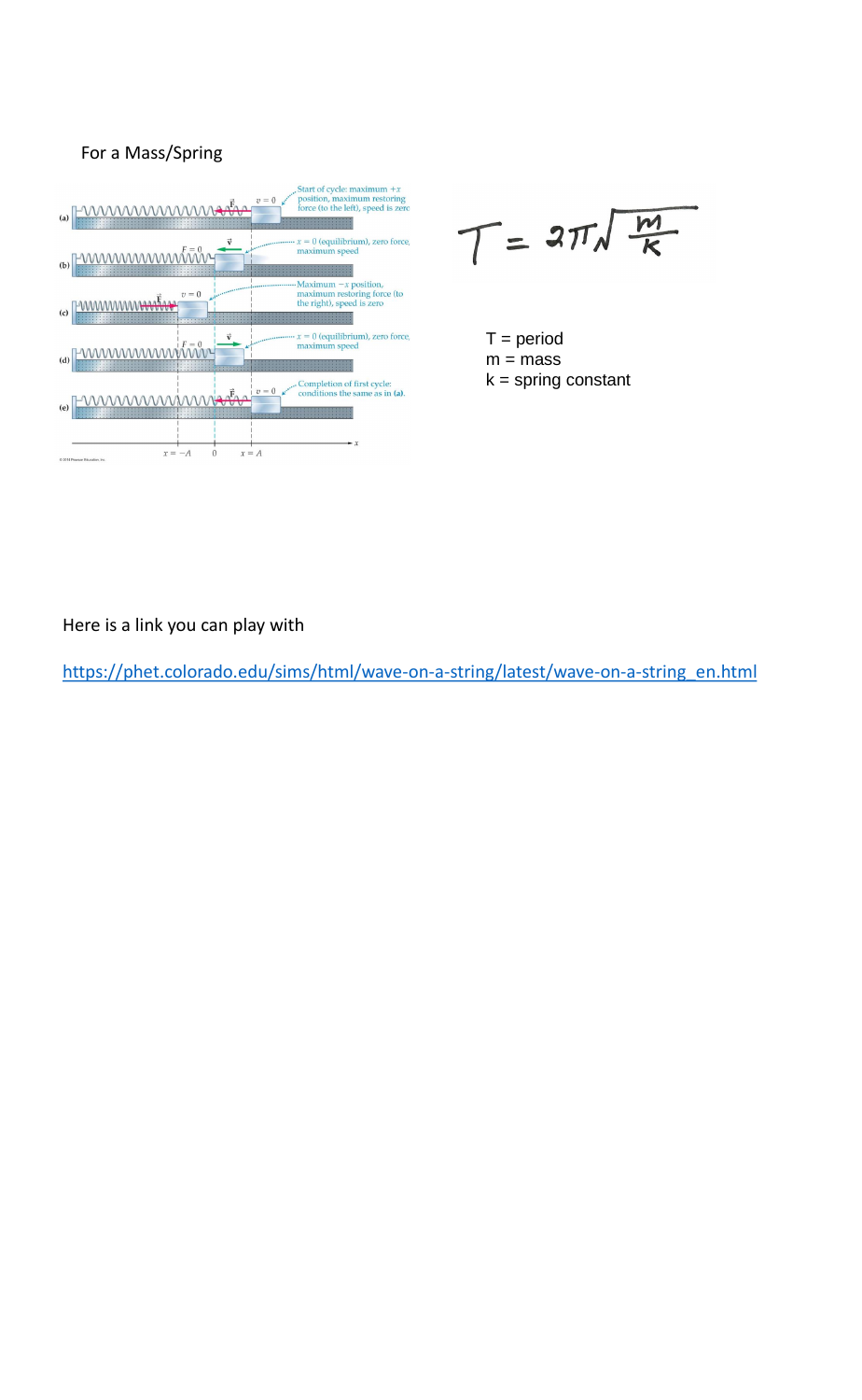#### For a Mass/Spring Start of cycle: maximum  $+x$ <br>position, maximum restoring<br>force (to the left), speed is zero  $v=0$ <u> WWWWWWWW</u>  $(a)$  $x = 0$  (equilibrium), zero force,  $\vec{v}$  $\,$  maximum speed wwwwwww  $(b)$ Maximum  $-x$  position, maximum restoring force (to  $\boldsymbol{v}=\boldsymbol{0}$ <u>ummmmmartin</u> the right), speed is zero  $(c)$  $x = 0$  (equilibrium), zero force, mmmmmnt maximum speed  $(d)$ Completion of first cycle:  $\boldsymbol{v}=\boldsymbol{0}$ conditions the same as in (a). wwwwwww  $(e)$  $x = -A$  $\boldsymbol{0}$  $x=A$ C 2014 Pearson Education, Inc.

 $T = 2\pi\sqrt{\frac{m}{K}}$ 

 $T = period$  $m = mass$  $k =$ spring constant

Here is a link you can play with

[https://phet.colorado.edu/sims/html/wave-on-a-string/latest/wave-on-a-string\\_en.html](https://phet.colorado.edu/sims/html/wave-on-a-string/latest/wave-on-a-string_en.html)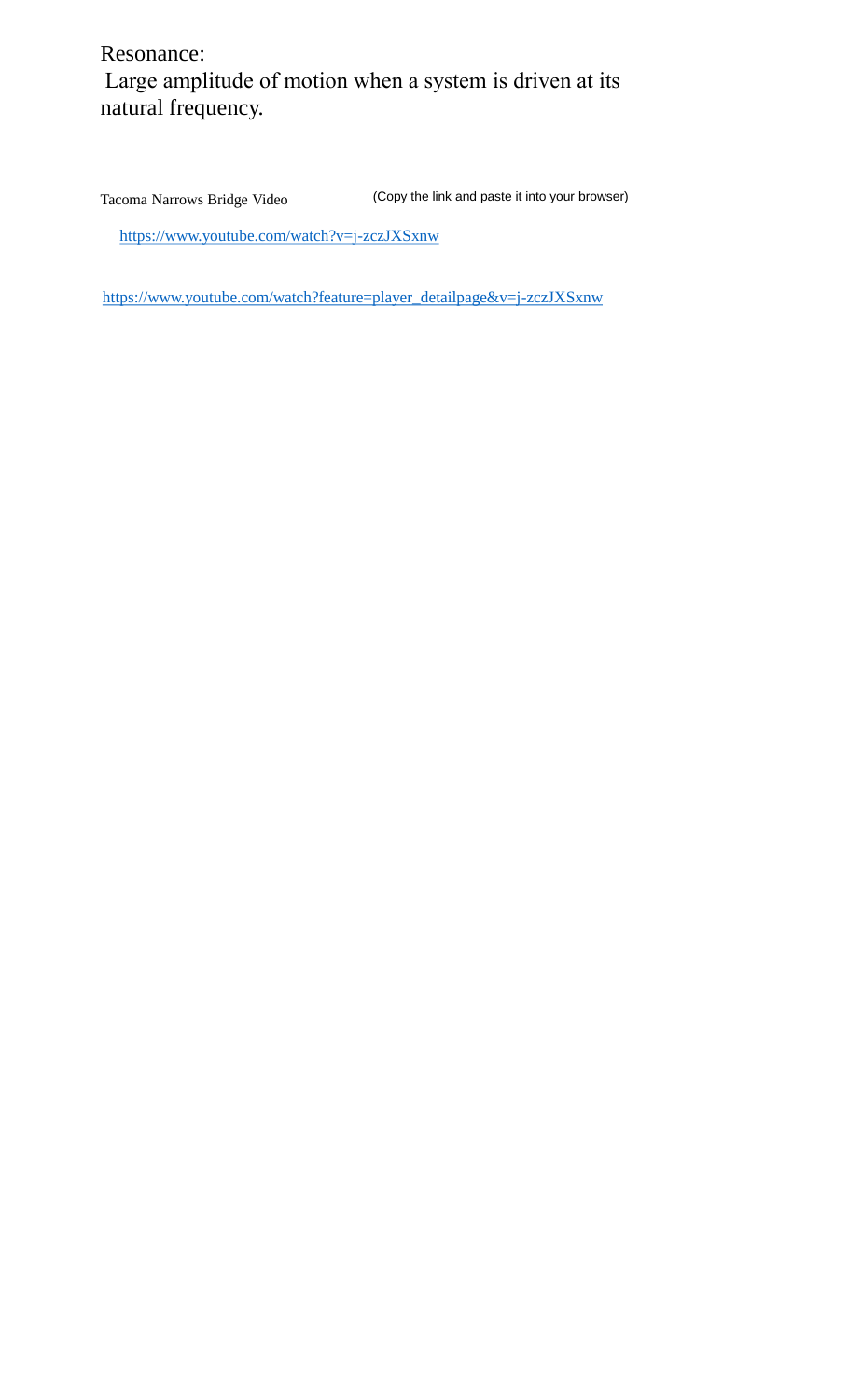### Resonance: Large amplitude of motion when a system is driven at its natural frequency.

<https://www.youtube.com/watch?v=j-zczJXSxnw>

Tacoma Narrows Bridge Video (Copy the link and paste it into your browser)

[https://www.youtube.com/watch?feature=player\\_detailpage&v=j-zczJXSxnw](https://www.youtube.com/watch?feature=player_detailpage&v=j-zczJXSxnw)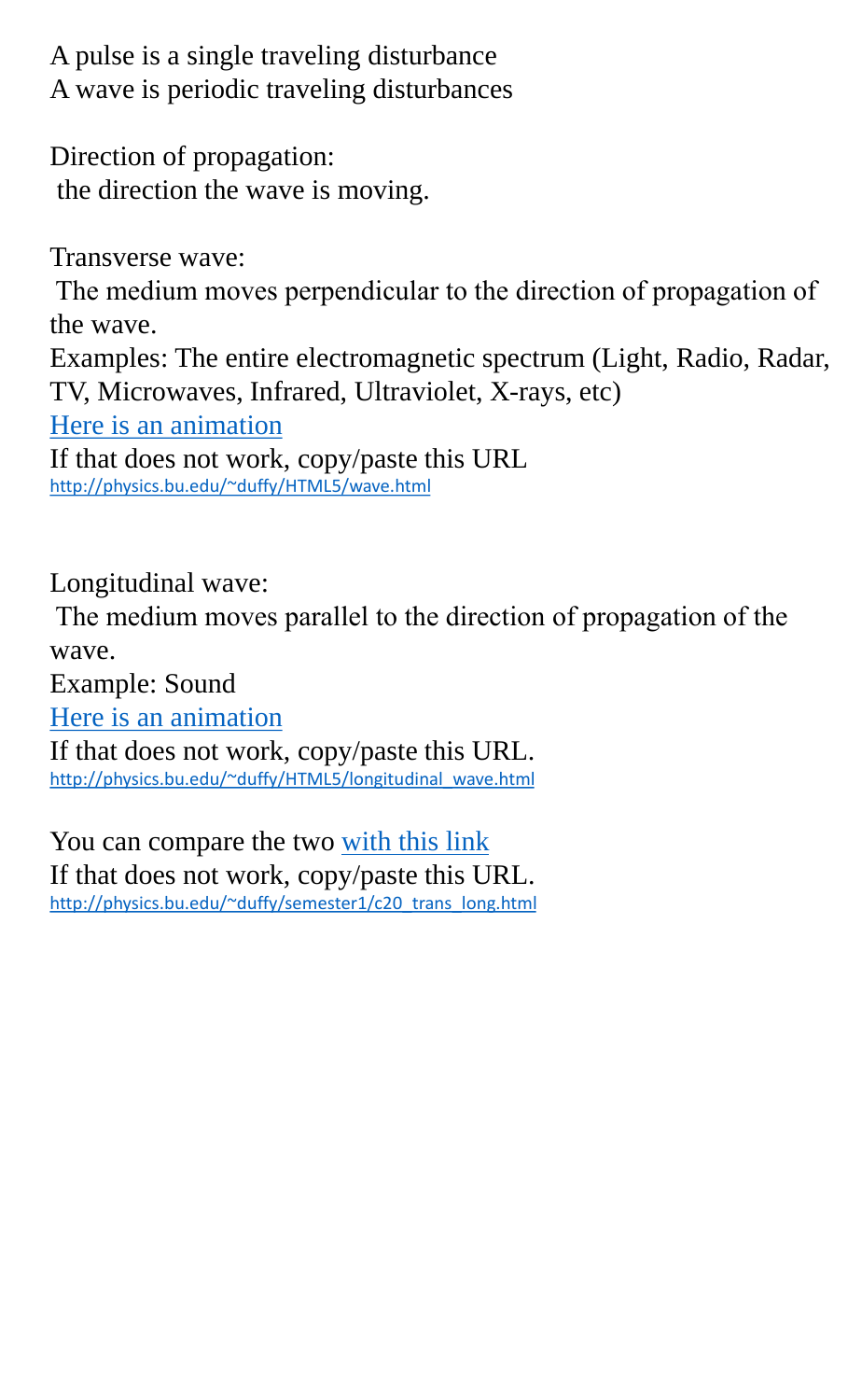A pulse is a single traveling disturbance A wave is periodic traveling disturbances

Direction of propagation: the direction the wave is moving.

Transverse wave:

The medium moves perpendicular to the direction of propagation of the wave.

Examples: The entire electromagnetic spectrum (Light, Radio, Radar, TV, Microwaves, Infrared, Ultraviolet, X-rays, etc)

If that does not work, copy/paste this URL. [http://physics.bu.edu/~duffy/HTML5/longitudinal\\_wave.html](http://physics.bu.edu/~duffy/HTML5/longitudinal_wave.html)

You can compare the two [with this link](http://physics.bu.edu/~duffy/semester1/c20_trans_long.html) If that does not work, copy/paste this URL. [http://physics.bu.edu/~duffy/semester1/c20\\_trans\\_long.html](http://physics.bu.edu/~duffy/semester1/c20_trans_long.html)

[Here is an animation](http://physics.bu.edu/~duffy/HTML5/wave.html)

If that does not work, copy/paste this URL <http://physics.bu.edu/~duffy/HTML5/wave.html>

Longitudinal wave:

The medium moves parallel to the direction of propagation of the wave.

Example: Sound

[Here is an animation](http://physics.bu.edu/~duffy/HTML5/longitudinal_wave.html)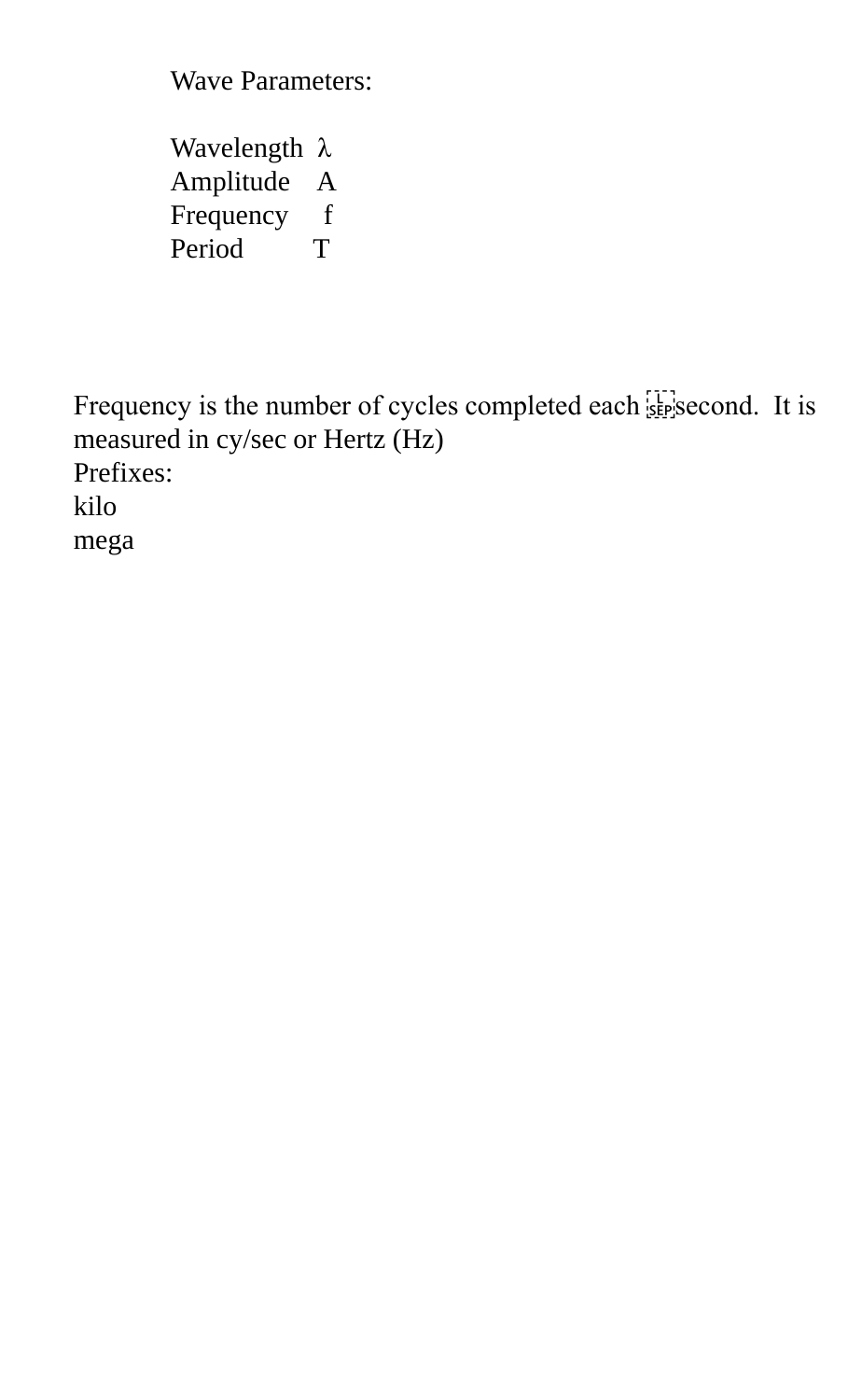Wave Parameters:

Wavelength λ Amplitude A Frequency f Period T

Frequency is the number of cycles completed each strategies cond. It is measured in cy/sec or Hertz (Hz) Prefixes: kilo mega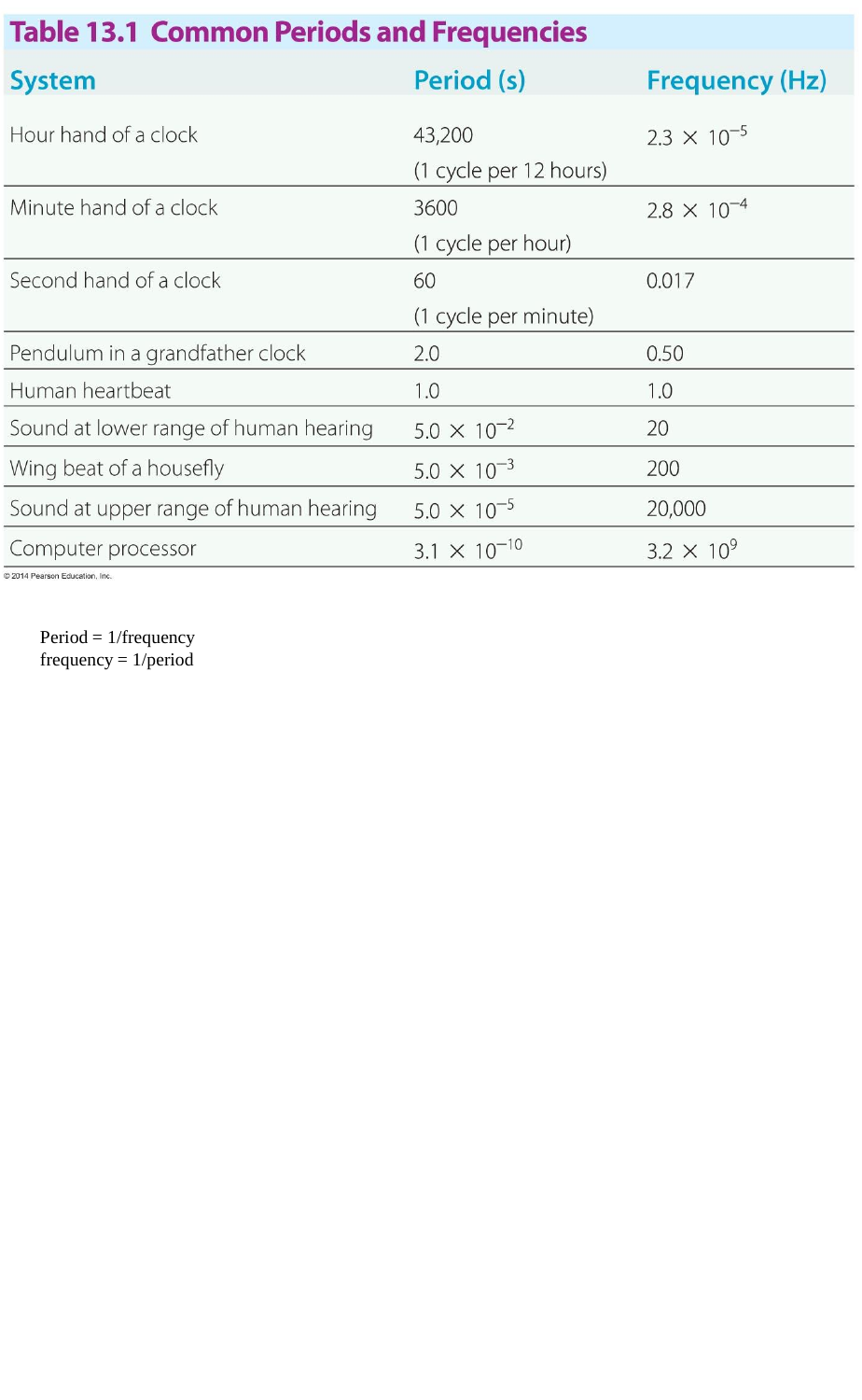# **Table 13.1 Common Periods and Frequencies**

| <b>System</b>                         | Period (s)                       | <b>Frequency (Hz)</b> |
|---------------------------------------|----------------------------------|-----------------------|
| Hour hand of a clock                  | 43,200<br>(1 cycle per 12 hours) | $2.3 \times 10^{-5}$  |
| Minute hand of a clock                | 3600<br>(1 cycle per hour)       | $2.8 \times 10^{-4}$  |
| Second hand of a clock                | 60<br>(1 cycle per minute)       | 0.017                 |
| Pendulum in a grandfather clock       | 2.0                              | 0.50                  |
| Human heartbeat                       | 1.0                              | 1.0                   |
| Sound at lower range of human hearing | $5.0 \times 10^{-2}$             | 20                    |
| Wing beat of a housefly               | $5.0 \times 10^{-3}$             | 200                   |
| Sound at upper range of human hearing | $5.0 \times 10^{-5}$             | 20,000                |
| Computer processor                    | $3.1 \times 10^{-10}$            | $3.2 \times 10^{9}$   |

© 2014 Pearson Education, Inc.

Period = 1/frequency frequency  $= 1/\text{period}$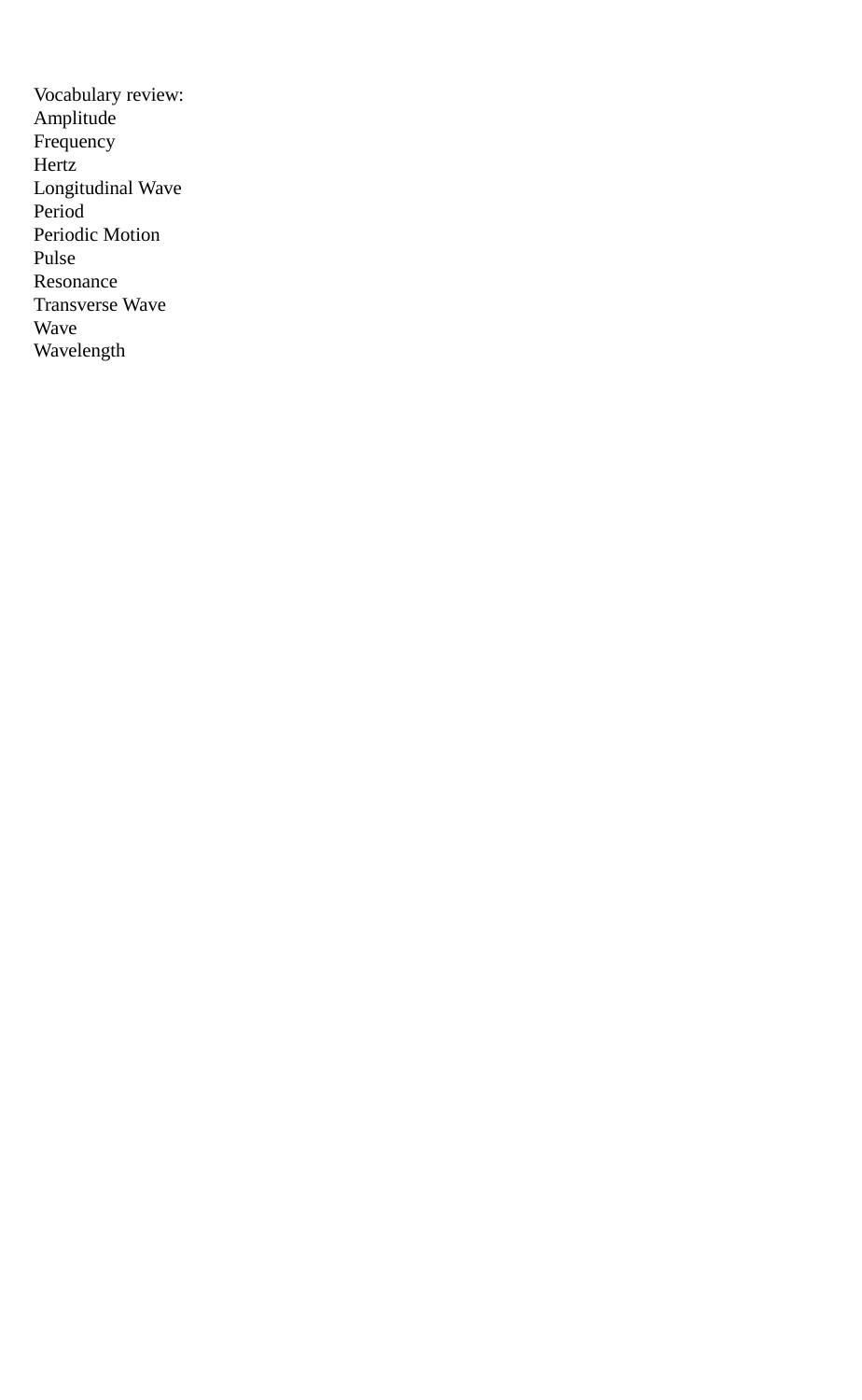Vocabulary review: Amplitude Frequency Hertz Longitudinal Wave Period Periodic Motion Pulse Resonance Transverse Wave Wave Wavelength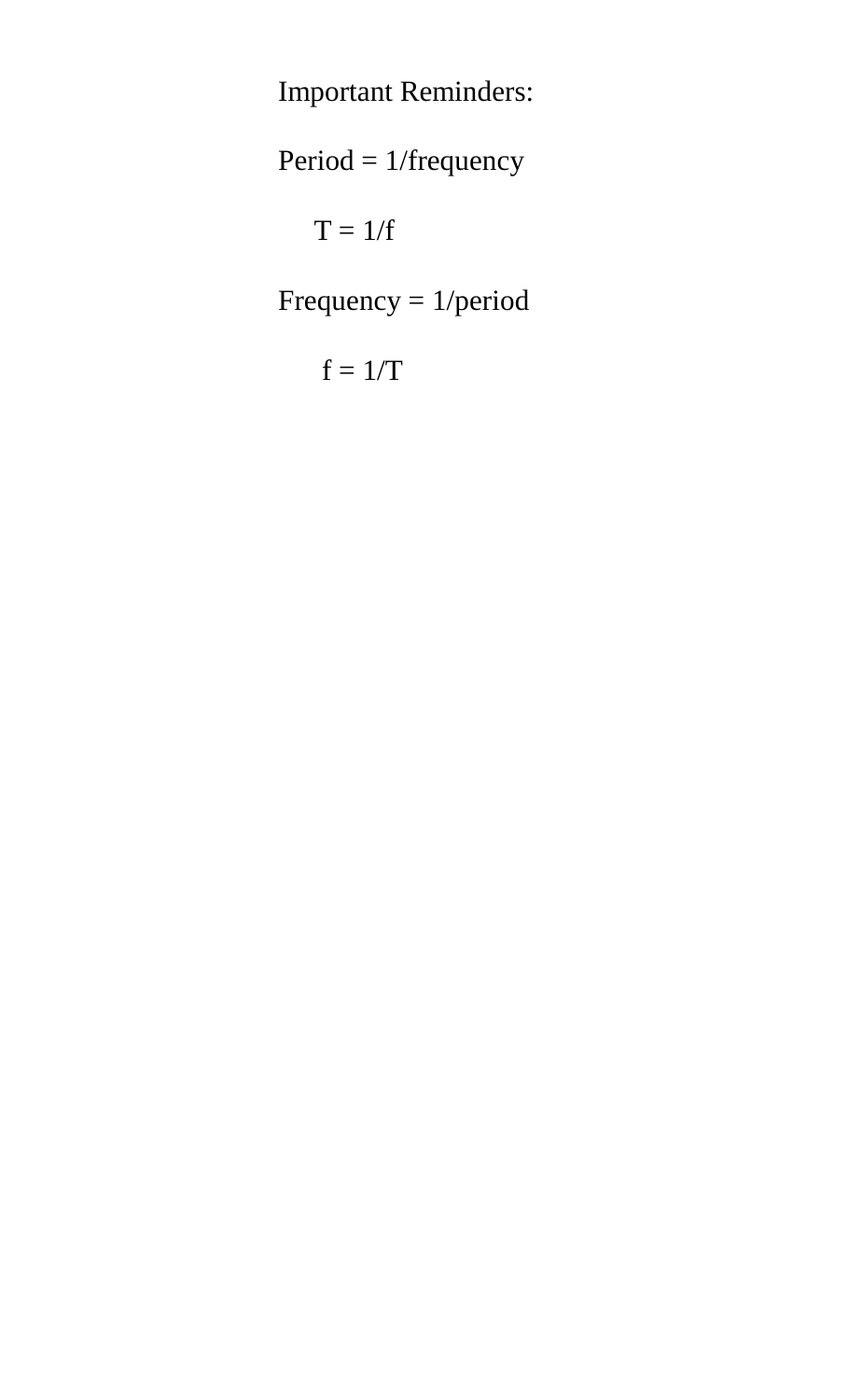Important Reminders:

Period = 1/frequency

 $T = 1/f$ 

Frequency = 1/period

 $f = 1/T$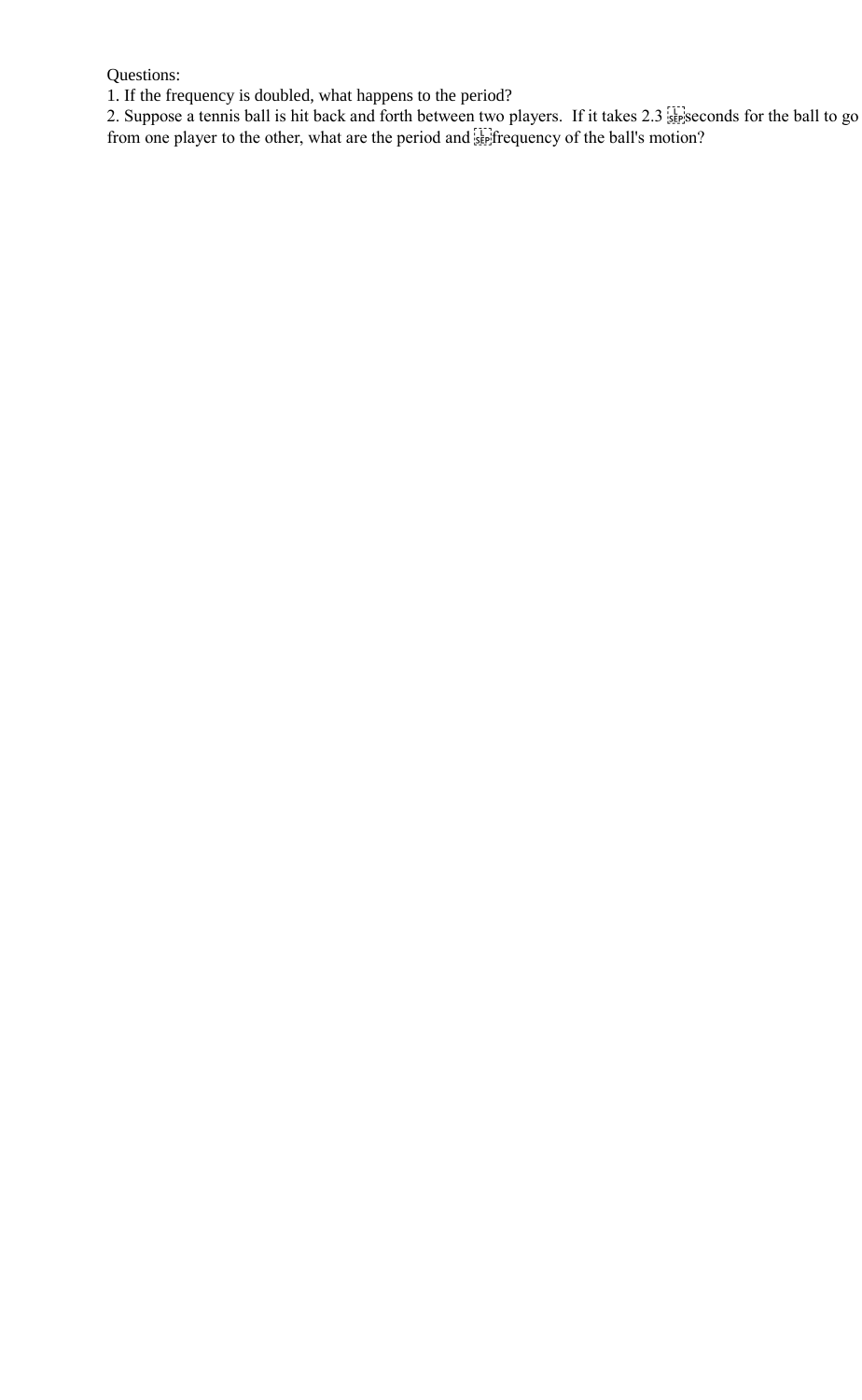Questions:

1. If the frequency is doubled, what happens to the period?

2. Suppose a tennis ball is hit back and forth between two players. If it takes 2.3 stepseconds for the ball to go from one player to the other, what are the period and **see** frequency of the ball's motion?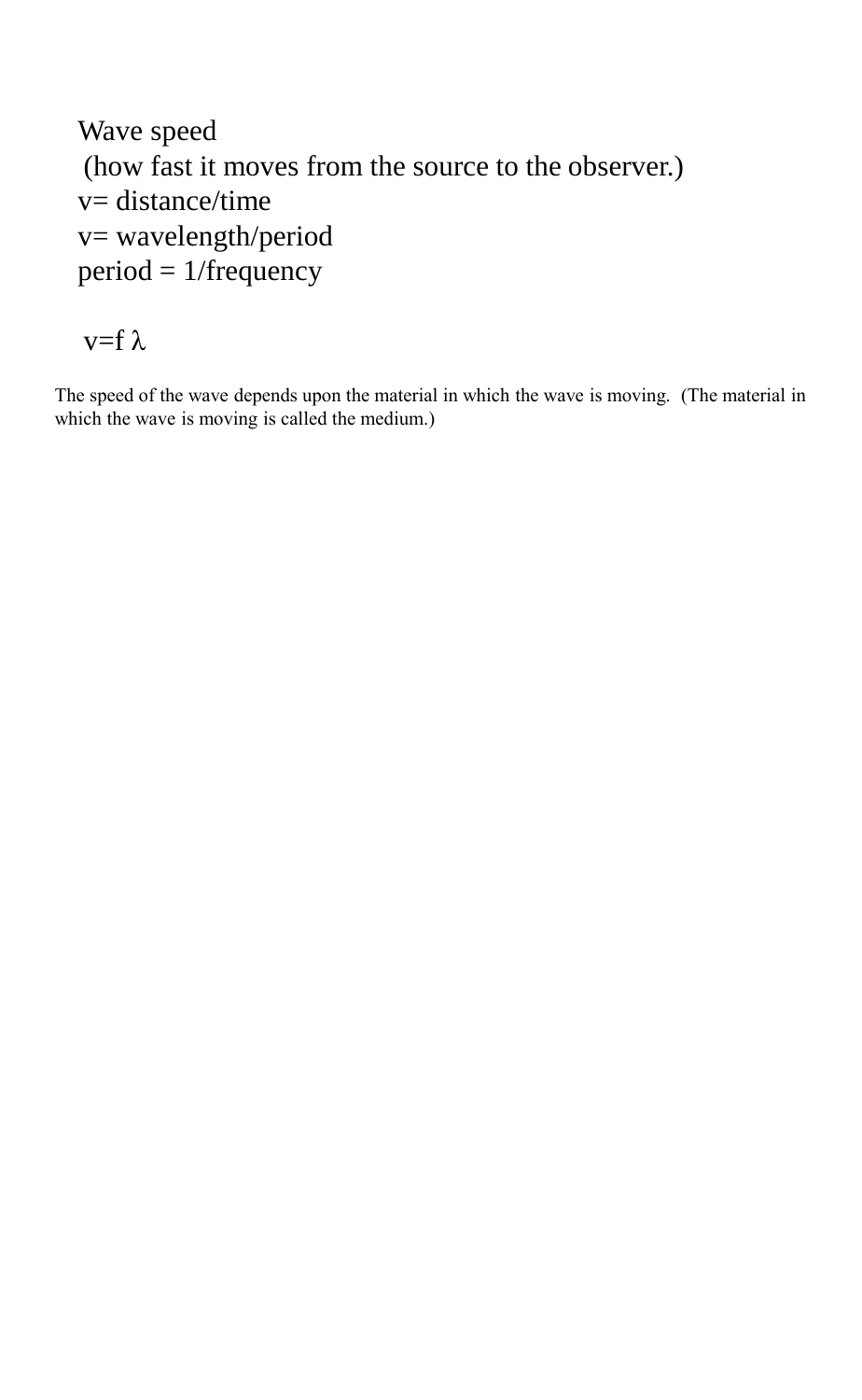```
Wave speed 
(how fast it moves from the source to the observer.) 
v= distance/time
v= wavelength/period
period = 1/frequency
```
 $v=f \lambda$ 

The speed of the wave depends upon the material in which the wave is moving. (The material in which the wave is moving is called the medium.)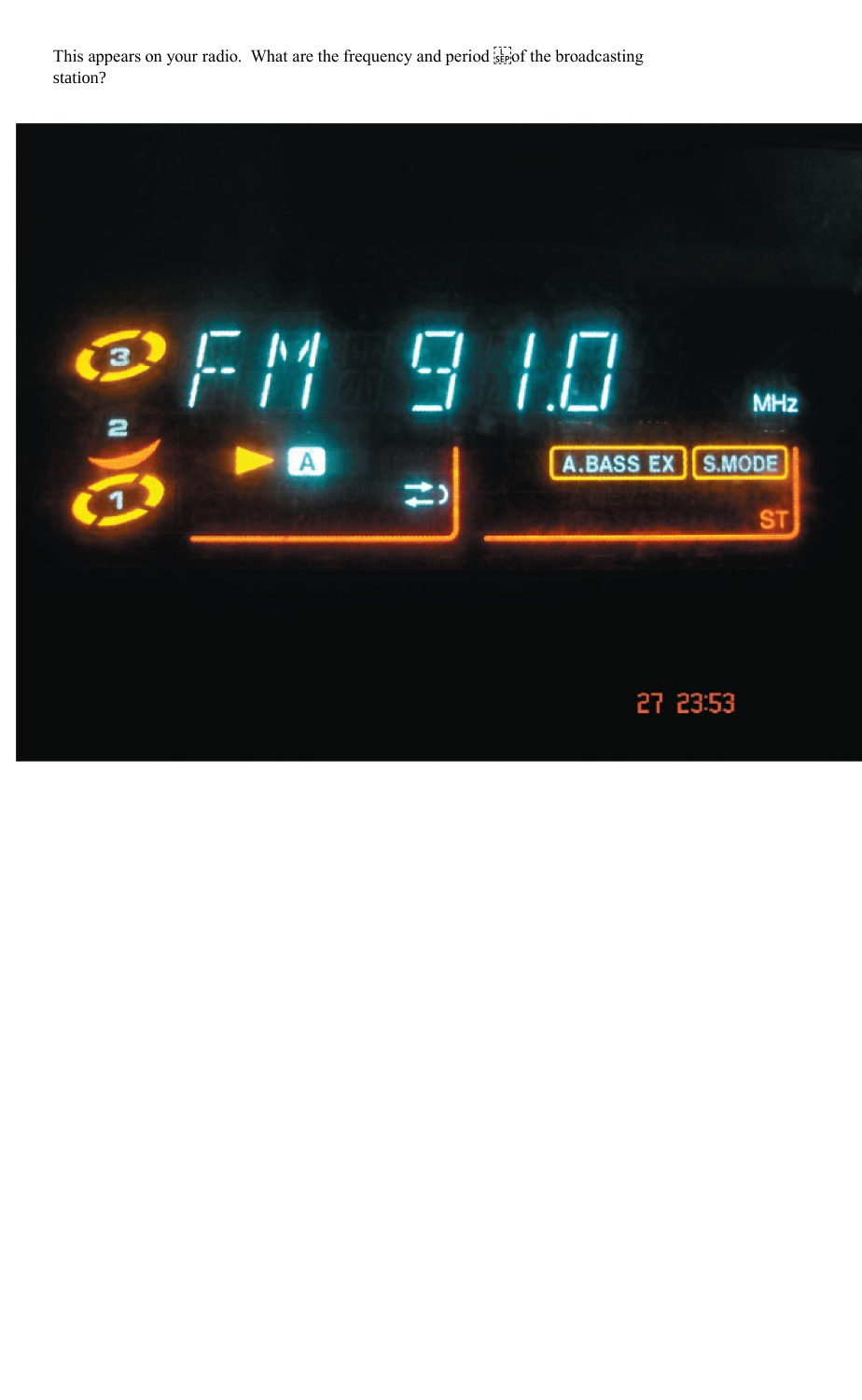This appears on your radio. What are the frequency and period  $\frac{1}{15}$  of the broadcasting station?

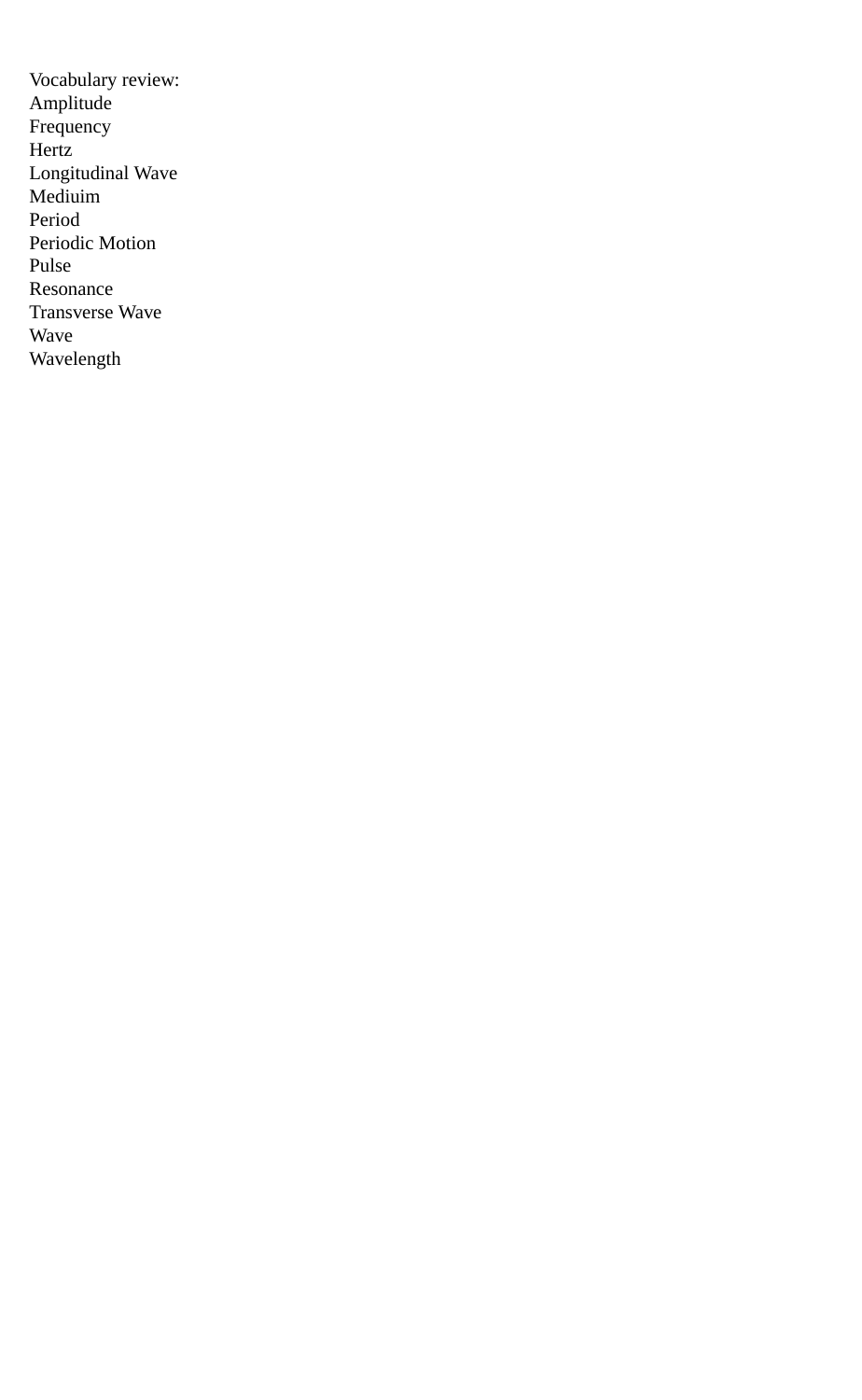Vocabulary review: Amplitude Frequency Hertz Longitudinal Wave Mediuim Period Periodic Motion Pulse Resonance Transverse Wave Wave Wavelength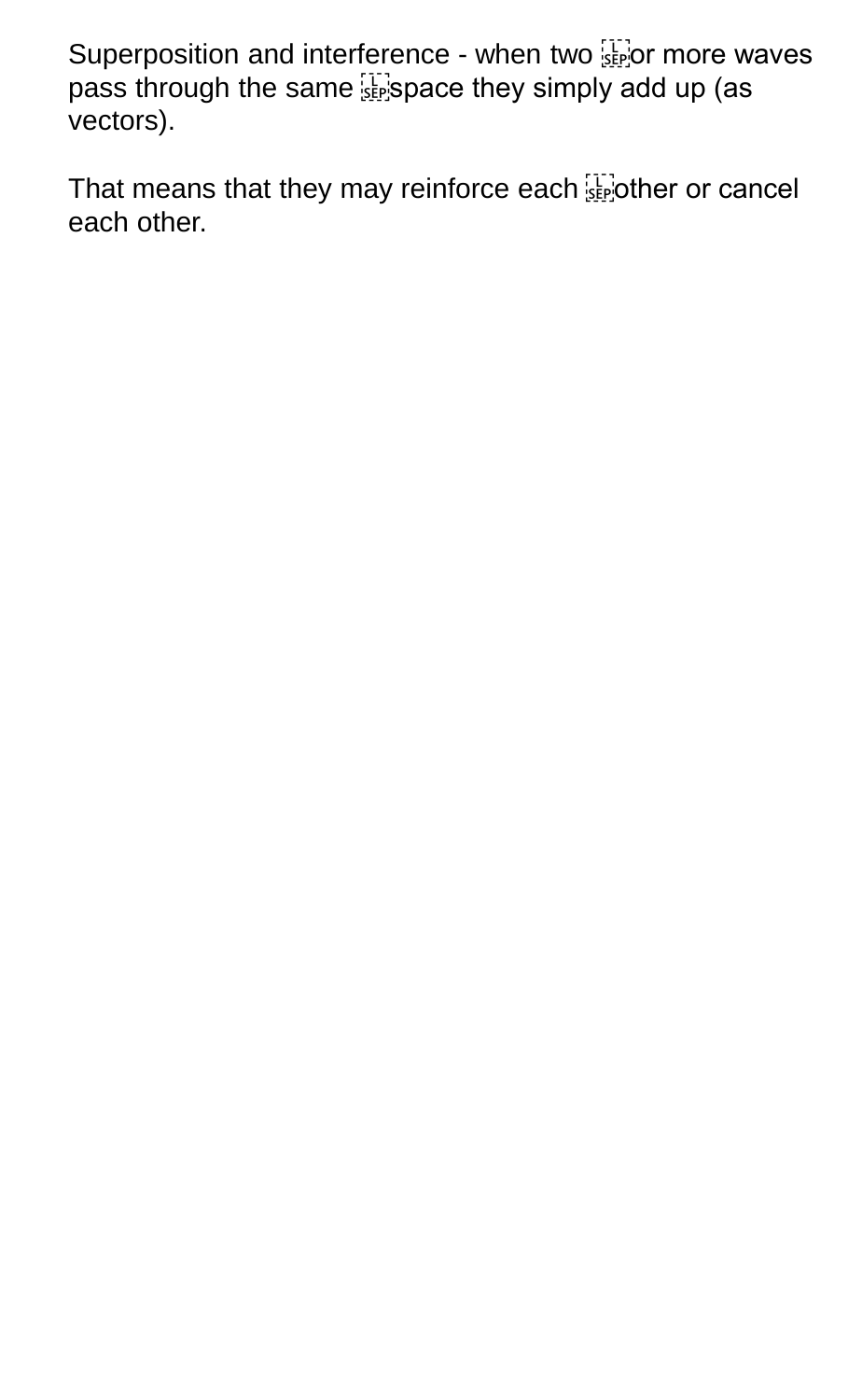Superposition and interference - when two **superposition** and interference - when two superportance waves pass through the same **suppace they simply add up** (as vectors).

That means that they may reinforce each **SEP** other or cancel each other.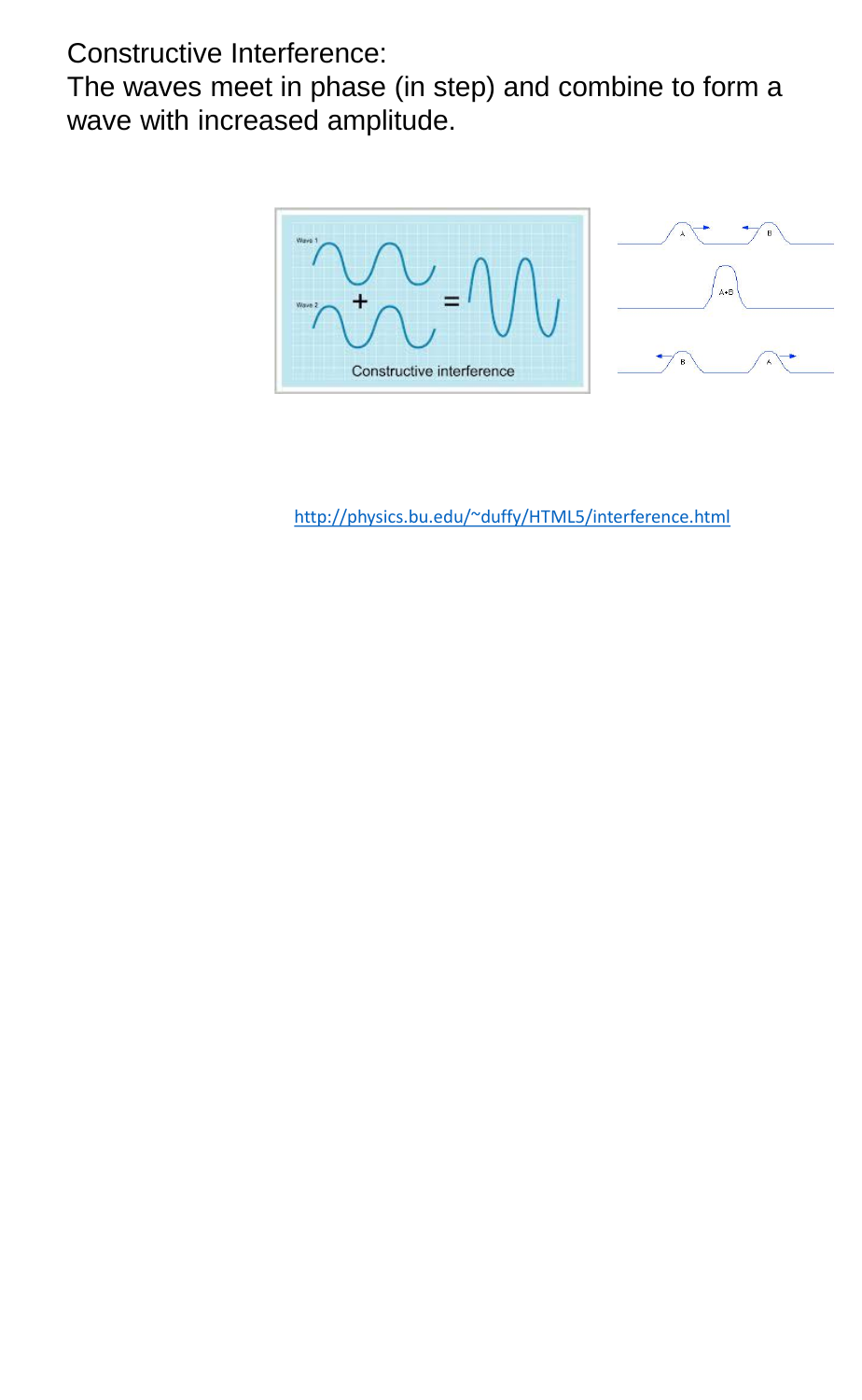Constructive Interference:

The waves meet in phase (in step) and combine to form a wave with increased amplitude.



<http://physics.bu.edu/~duffy/HTML5/interference.html>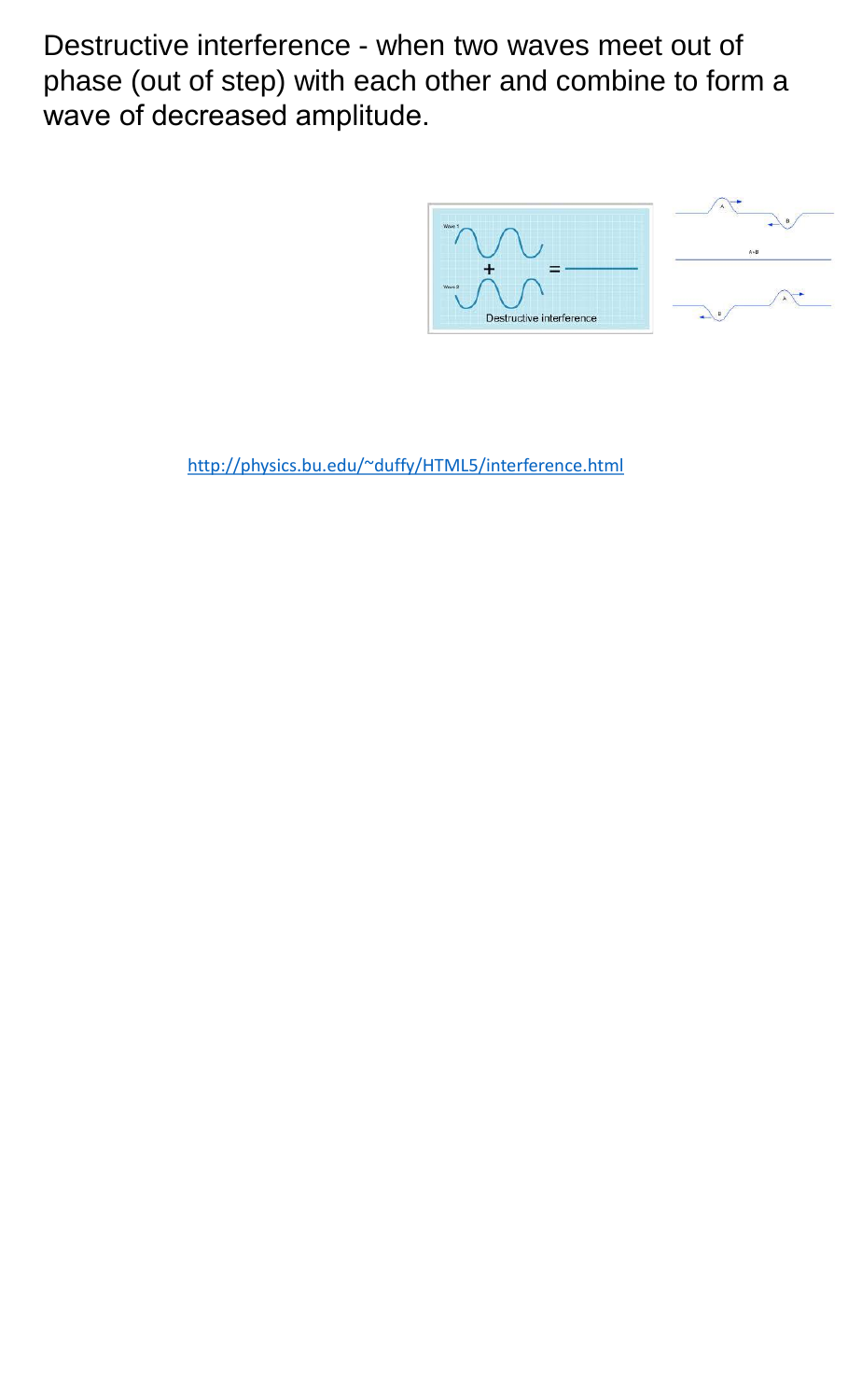Destructive interference - when two waves meet out of phase (out of step) with each other and combine to form a wave of decreased amplitude.





<http://physics.bu.edu/~duffy/HTML5/interference.html>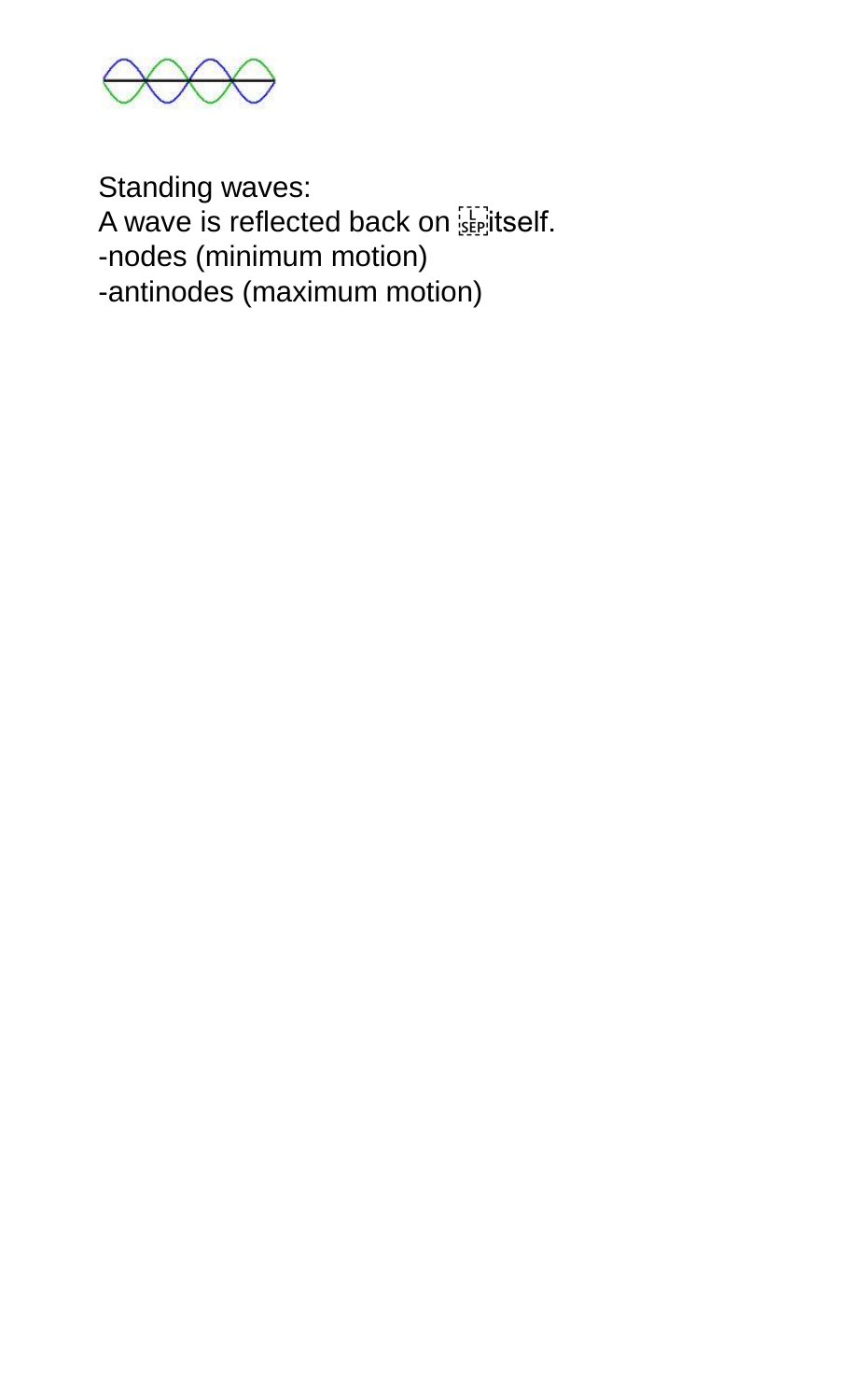

Standing waves: A wave is reflected back on **is plack**. -nodes (minimum motion) -antinodes (maximum motion)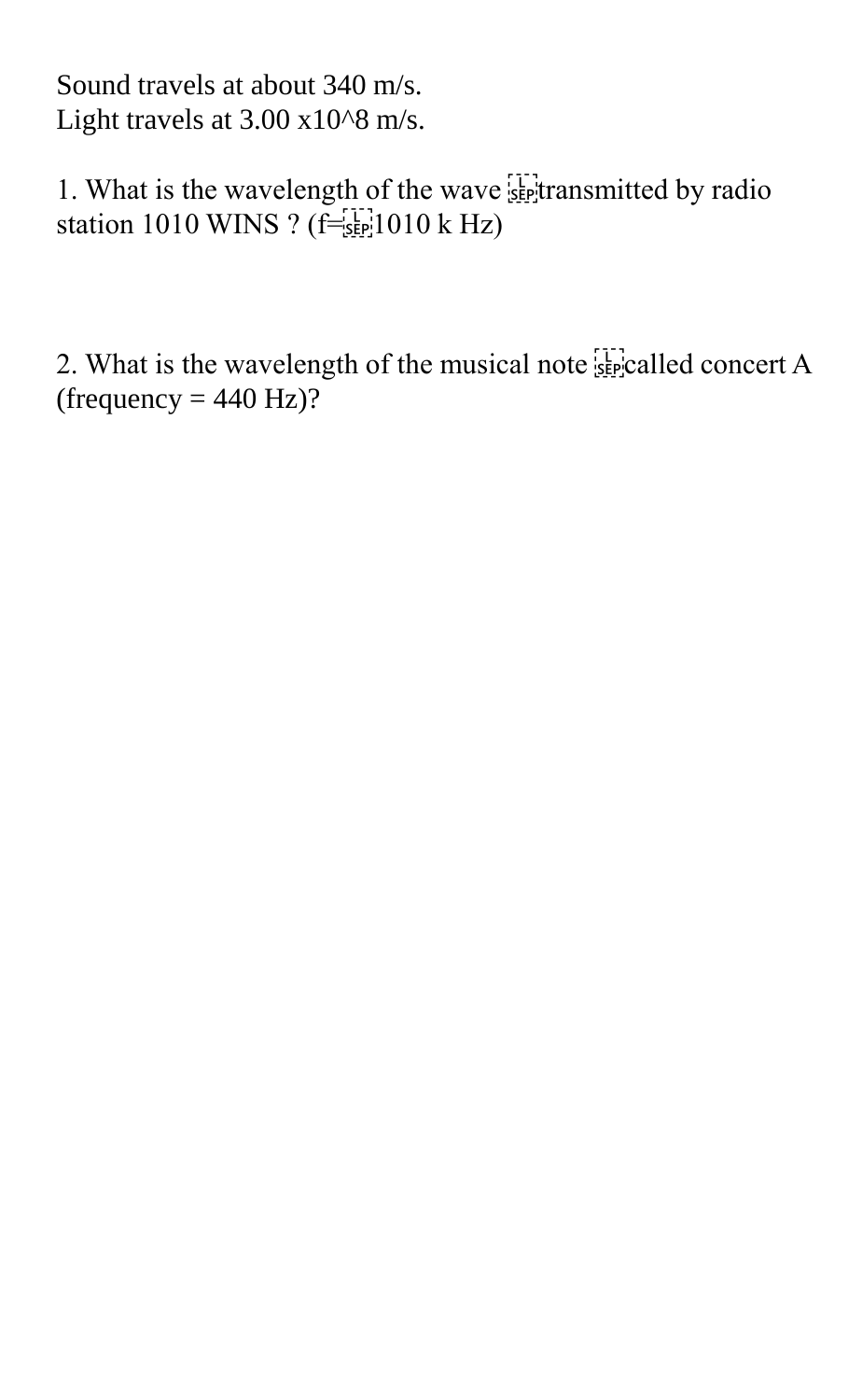Sound travels at about 340 m/s. Light travels at  $3.00 \times 10^{8}$  m/s.

1. What is the wavelength of the wave  $\frac{1}{2}$  transmitted by radio station 1010 WINS ?  $(f=[sE]$ 1010 k Hz)

2. What is the wavelength of the musical note  $\frac{1}{2}$  called concert A (frequency  $= 440$  Hz)?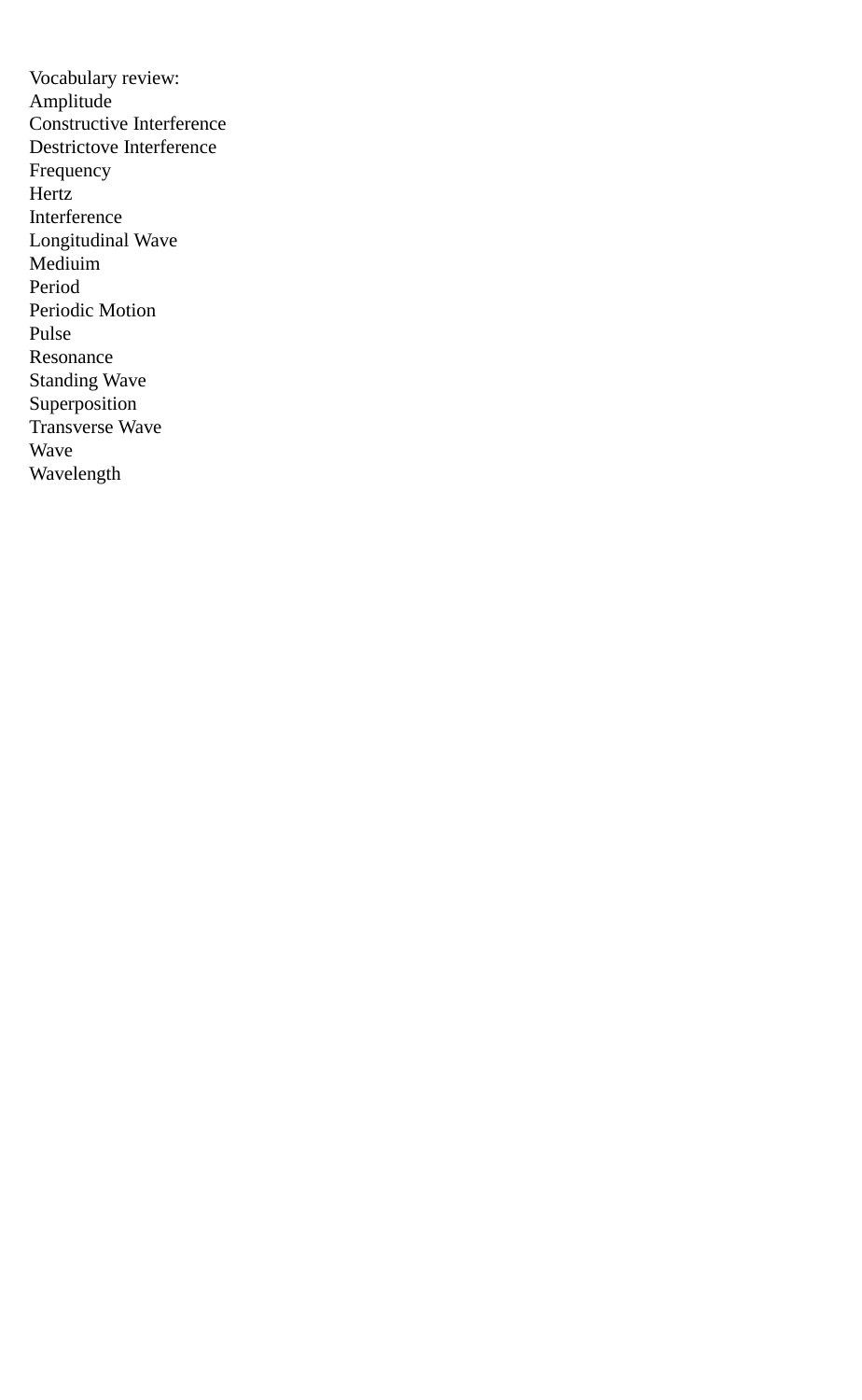Vocabulary review: Amplitude Constructive Interference Destrictove Interference Frequency Hertz Interference Longitudinal Wave Mediuim Period Periodic Motion Pulse Resonance Standing Wave Superposition Transverse Wave Wave Wavelength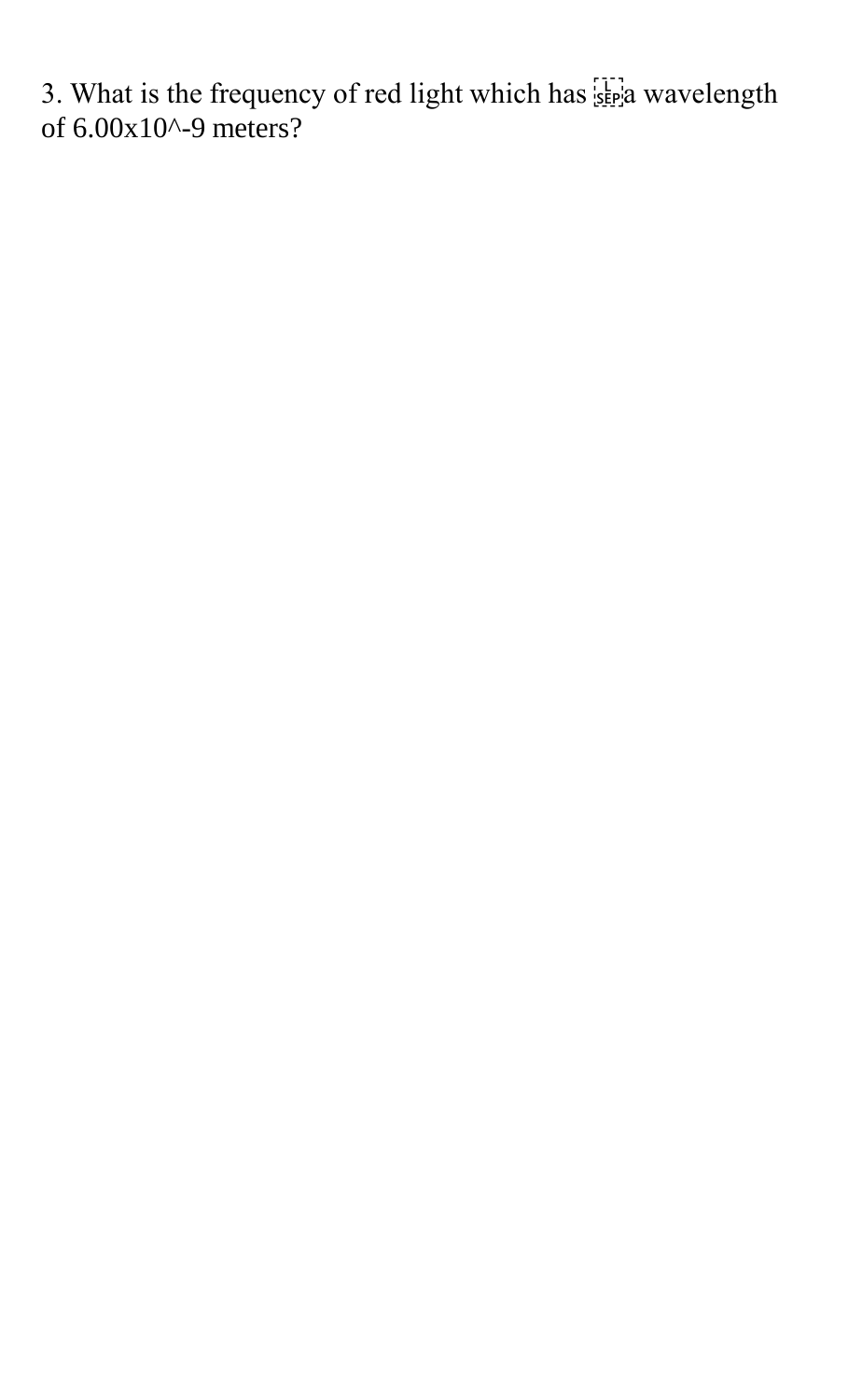3. What is the frequency of red light which has  $\sum_{s \in P} a$  wavelength of 6.00x10^-9 meters?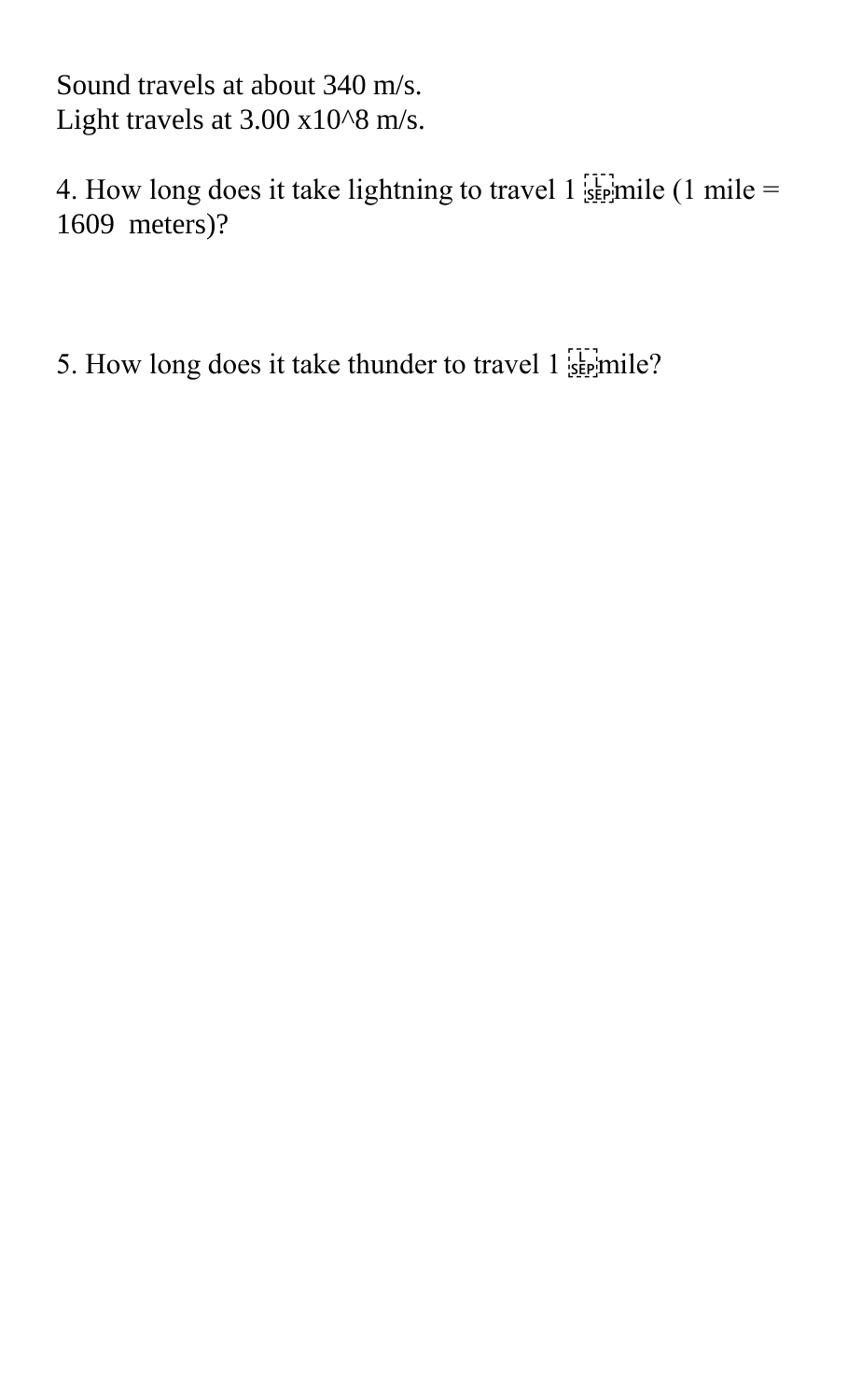Sound travels at about 340 m/s. Light travels at  $3.00 \times 10^{8}$  m/s.

4. How long does it take lightning to travel 1  $\frac{1}{25}$  mile (1 mile = 1609 meters)?

5. How long does it take thunder to travel  $1 \frac{[1]}{S_{\text{EP}}}$  mile?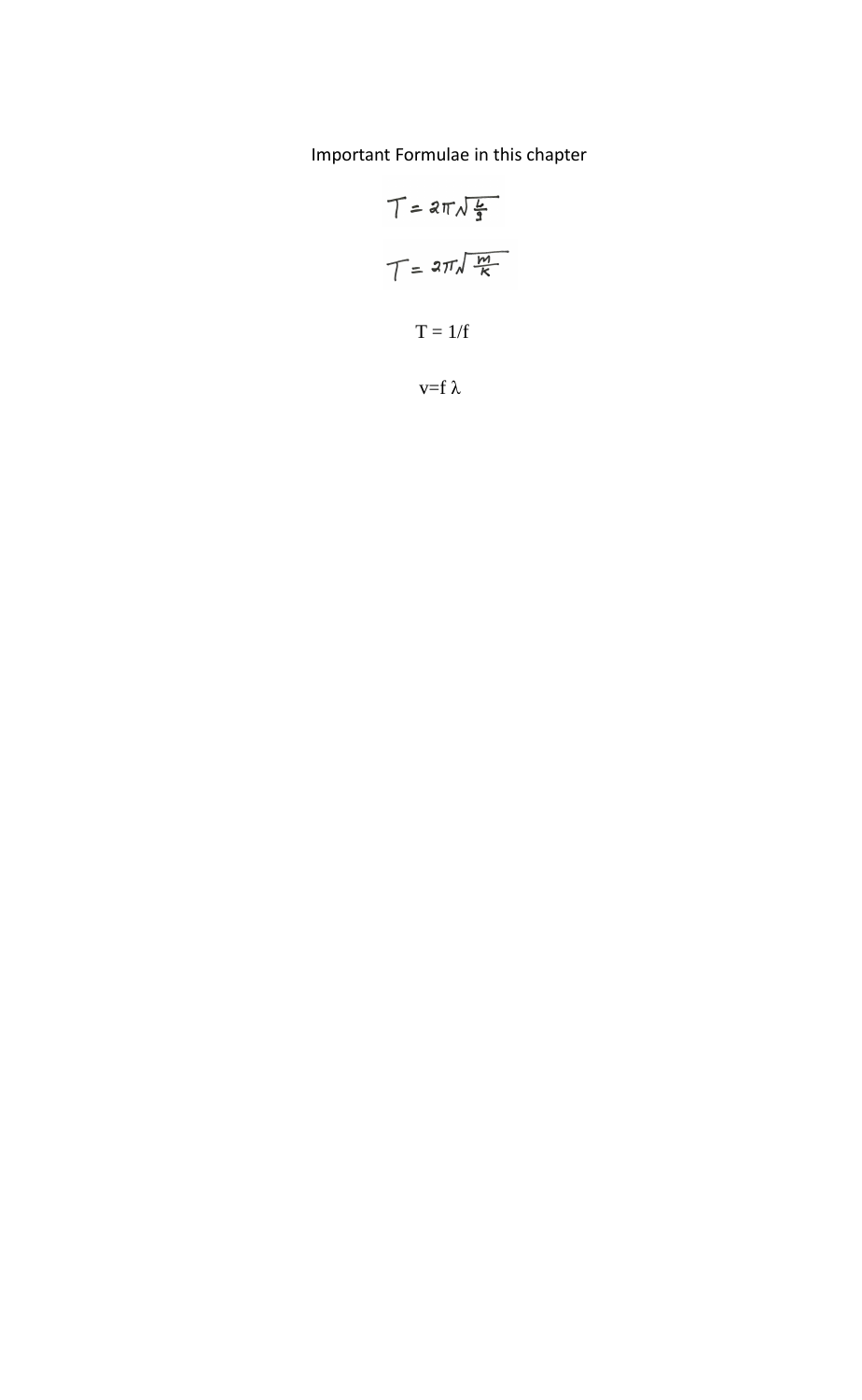Important Formulae in this chapter

$$
T = 2\pi\sqrt{\frac{L}{3}}
$$

$$
T = 1/f
$$

$$
T = 1/f
$$

$$
v = f \lambda
$$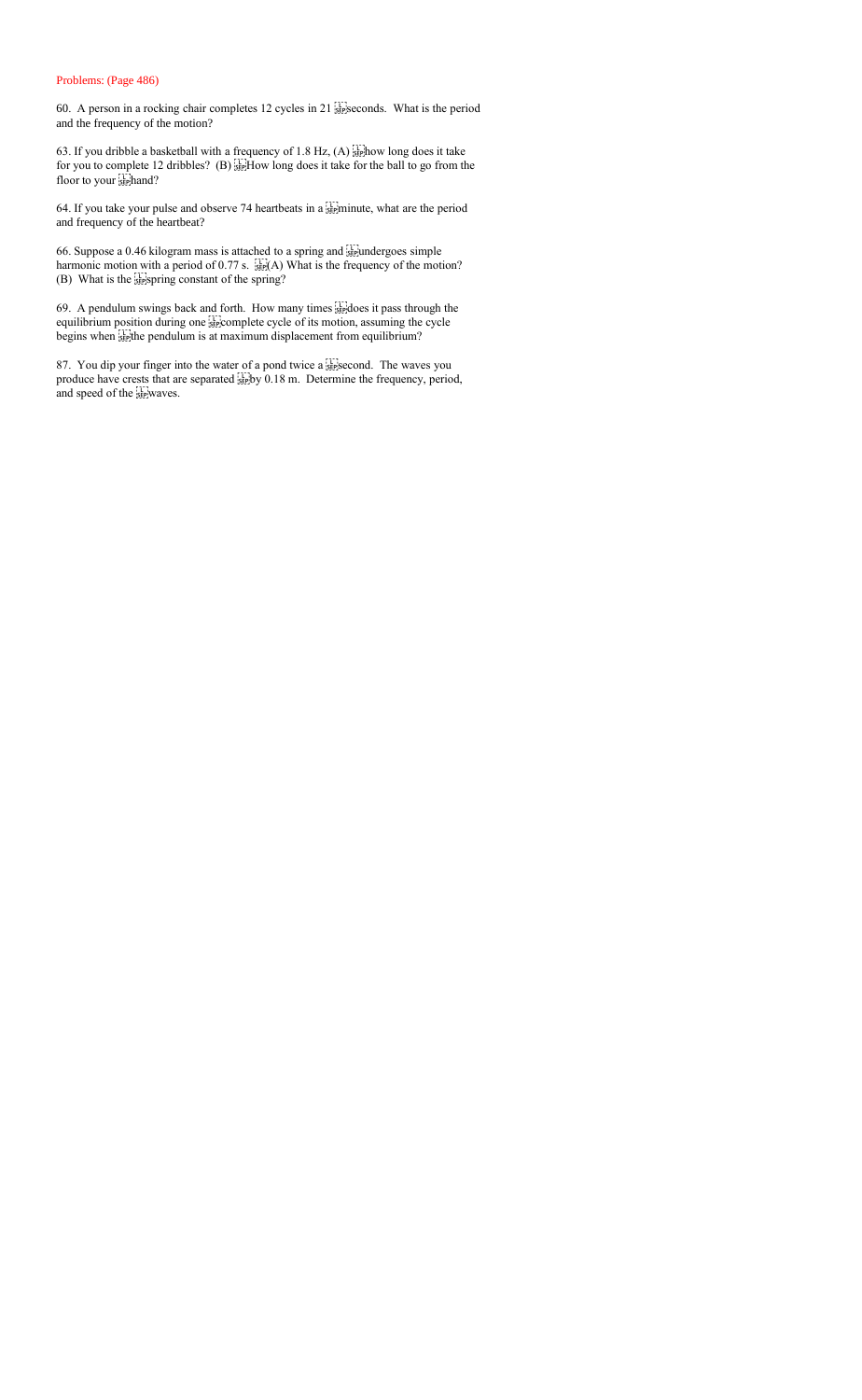#### Problems: (Page 486)

60. A person in a rocking chair completes 12 cycles in 21  $\frac{1}{25}$  seconds. What is the period and the frequency of the motion?

63. If you dribble a basketball with a frequency of 1.8 Hz,  $(A)$  stephow long does it take for you to complete 12 dribbles? (B)  $_{5.5}^{[1]}$  How long does it take for the ball to go from the floor to your sephand?

64. If you take your pulse and observe 74 heartbeats in a  $\frac{1}{55}$  minute, what are the period and frequency of the heartbeat?

66. Suppose a 0.46 kilogram mass is attached to a spring and  $\frac{1}{100}$  undergoes simple harmonic motion with a period of 0.77 s.  $\frac{1}{25}$ (A) What is the frequency of the motion? (B) What is the spring constant of the spring?

69. A pendulum swings back and forth. How many times  $\frac{1}{25}$  does it pass through the equilibrium position during one strong position position. assuming the cycle begins when  $\frac{1}{2}$ <sup>th</sup> pendulum is at maximum displacement from equilibrium?

87. You dip your finger into the water of a pond twice a seed also second. The waves you produce have crests that are separated  $\sum_{s}$  by 0.18 m. Determine the frequency, period, and speed of the sepwaves.